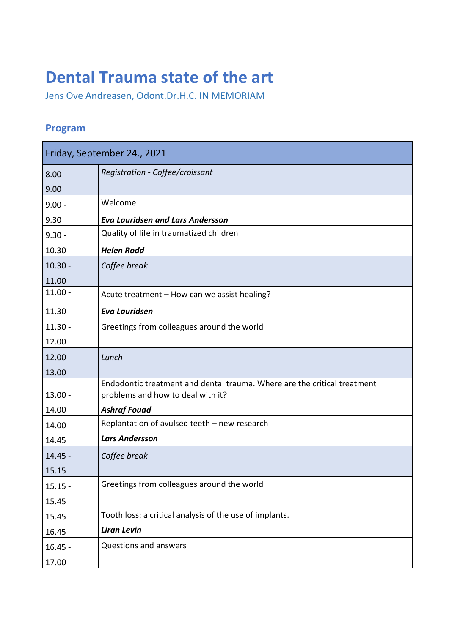## **Dental Trauma state of the art**

Jens Ove Andreasen, Odont.Dr.H.C. IN MEMORIAM

## **Program**

| Friday, September 24., 2021 |                                                                                                               |
|-----------------------------|---------------------------------------------------------------------------------------------------------------|
| $8.00 -$                    | Registration - Coffee/croissant                                                                               |
| 9.00                        |                                                                                                               |
| $9.00 -$                    | Welcome                                                                                                       |
| 9.30                        | <b>Eva Lauridsen and Lars Andersson</b>                                                                       |
| $9.30 -$                    | Quality of life in traumatized children                                                                       |
| 10.30                       | <b>Helen Rodd</b>                                                                                             |
| $10.30 -$                   | Coffee break                                                                                                  |
| 11.00                       |                                                                                                               |
| $11.00 -$                   | Acute treatment - How can we assist healing?                                                                  |
| 11.30                       | <b>Eva Lauridsen</b>                                                                                          |
| $11.30 -$                   | Greetings from colleagues around the world                                                                    |
| 12.00                       |                                                                                                               |
| $12.00 -$                   | Lunch                                                                                                         |
| 13.00                       |                                                                                                               |
| $13.00 -$                   | Endodontic treatment and dental trauma. Where are the critical treatment<br>problems and how to deal with it? |
| 14.00                       | <b>Ashraf Fouad</b>                                                                                           |
| $14.00 -$                   | Replantation of avulsed teeth - new research                                                                  |
| 14.45                       | <b>Lars Andersson</b>                                                                                         |
| $14.45 -$                   | Coffee break                                                                                                  |
| 15.15                       |                                                                                                               |
| $15.15 -$                   | Greetings from colleagues around the world                                                                    |
| 15.45                       |                                                                                                               |
| 15.45                       | Tooth loss: a critical analysis of the use of implants.                                                       |
| 16.45                       | <b>Liran Levin</b>                                                                                            |
| $16.45 -$                   | Questions and answers                                                                                         |
| 17.00                       |                                                                                                               |